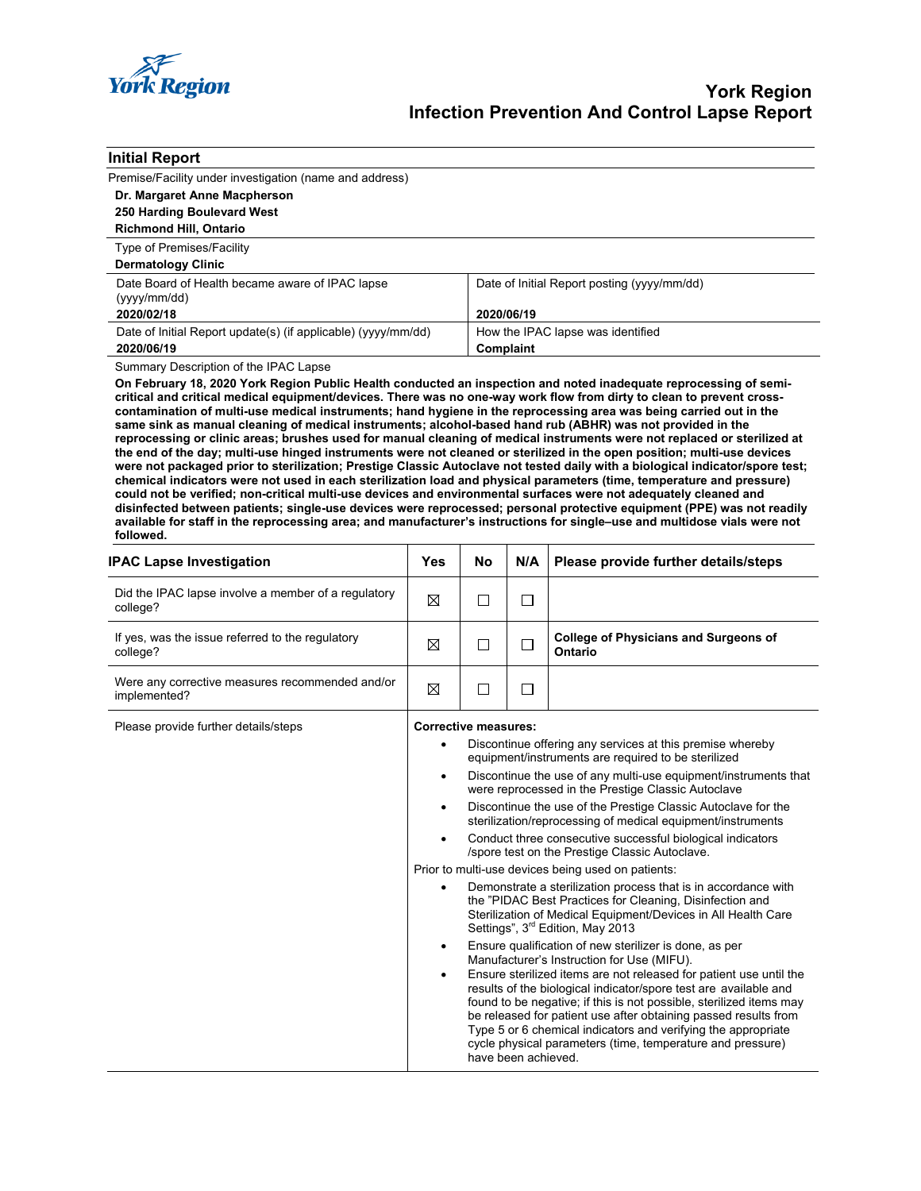

| <b>Initial Report</b>                                                                                                                                                                                                                                                                                                                                                                                                                                                                                                                                                                                                                                                                                                                                                                                                                                                                                                                                                                                                                                                                                                                                                                                                                                                                                                                                                                                                            |                |                                                                                                                                                                                                                                                                                                                                                                                                                                                                                                                                                                                                                                                                                                                                                                                                                                                                                                 |                                             |                                                                                                                                                                                                                                                                                                                                                                                                                                                               |  |  |  |
|----------------------------------------------------------------------------------------------------------------------------------------------------------------------------------------------------------------------------------------------------------------------------------------------------------------------------------------------------------------------------------------------------------------------------------------------------------------------------------------------------------------------------------------------------------------------------------------------------------------------------------------------------------------------------------------------------------------------------------------------------------------------------------------------------------------------------------------------------------------------------------------------------------------------------------------------------------------------------------------------------------------------------------------------------------------------------------------------------------------------------------------------------------------------------------------------------------------------------------------------------------------------------------------------------------------------------------------------------------------------------------------------------------------------------------|----------------|-------------------------------------------------------------------------------------------------------------------------------------------------------------------------------------------------------------------------------------------------------------------------------------------------------------------------------------------------------------------------------------------------------------------------------------------------------------------------------------------------------------------------------------------------------------------------------------------------------------------------------------------------------------------------------------------------------------------------------------------------------------------------------------------------------------------------------------------------------------------------------------------------|---------------------------------------------|---------------------------------------------------------------------------------------------------------------------------------------------------------------------------------------------------------------------------------------------------------------------------------------------------------------------------------------------------------------------------------------------------------------------------------------------------------------|--|--|--|
| Premise/Facility under investigation (name and address)                                                                                                                                                                                                                                                                                                                                                                                                                                                                                                                                                                                                                                                                                                                                                                                                                                                                                                                                                                                                                                                                                                                                                                                                                                                                                                                                                                          |                |                                                                                                                                                                                                                                                                                                                                                                                                                                                                                                                                                                                                                                                                                                                                                                                                                                                                                                 |                                             |                                                                                                                                                                                                                                                                                                                                                                                                                                                               |  |  |  |
| Dr. Margaret Anne Macpherson                                                                                                                                                                                                                                                                                                                                                                                                                                                                                                                                                                                                                                                                                                                                                                                                                                                                                                                                                                                                                                                                                                                                                                                                                                                                                                                                                                                                     |                |                                                                                                                                                                                                                                                                                                                                                                                                                                                                                                                                                                                                                                                                                                                                                                                                                                                                                                 |                                             |                                                                                                                                                                                                                                                                                                                                                                                                                                                               |  |  |  |
| 250 Harding Boulevard West                                                                                                                                                                                                                                                                                                                                                                                                                                                                                                                                                                                                                                                                                                                                                                                                                                                                                                                                                                                                                                                                                                                                                                                                                                                                                                                                                                                                       |                |                                                                                                                                                                                                                                                                                                                                                                                                                                                                                                                                                                                                                                                                                                                                                                                                                                                                                                 |                                             |                                                                                                                                                                                                                                                                                                                                                                                                                                                               |  |  |  |
| <b>Richmond Hill, Ontario</b>                                                                                                                                                                                                                                                                                                                                                                                                                                                                                                                                                                                                                                                                                                                                                                                                                                                                                                                                                                                                                                                                                                                                                                                                                                                                                                                                                                                                    |                |                                                                                                                                                                                                                                                                                                                                                                                                                                                                                                                                                                                                                                                                                                                                                                                                                                                                                                 |                                             |                                                                                                                                                                                                                                                                                                                                                                                                                                                               |  |  |  |
| Type of Premises/Facility                                                                                                                                                                                                                                                                                                                                                                                                                                                                                                                                                                                                                                                                                                                                                                                                                                                                                                                                                                                                                                                                                                                                                                                                                                                                                                                                                                                                        |                |                                                                                                                                                                                                                                                                                                                                                                                                                                                                                                                                                                                                                                                                                                                                                                                                                                                                                                 |                                             |                                                                                                                                                                                                                                                                                                                                                                                                                                                               |  |  |  |
| <b>Dermatology Clinic</b>                                                                                                                                                                                                                                                                                                                                                                                                                                                                                                                                                                                                                                                                                                                                                                                                                                                                                                                                                                                                                                                                                                                                                                                                                                                                                                                                                                                                        |                |                                                                                                                                                                                                                                                                                                                                                                                                                                                                                                                                                                                                                                                                                                                                                                                                                                                                                                 |                                             |                                                                                                                                                                                                                                                                                                                                                                                                                                                               |  |  |  |
| Date Board of Health became aware of IPAC lapse                                                                                                                                                                                                                                                                                                                                                                                                                                                                                                                                                                                                                                                                                                                                                                                                                                                                                                                                                                                                                                                                                                                                                                                                                                                                                                                                                                                  |                |                                                                                                                                                                                                                                                                                                                                                                                                                                                                                                                                                                                                                                                                                                                                                                                                                                                                                                 | Date of Initial Report posting (yyyy/mm/dd) |                                                                                                                                                                                                                                                                                                                                                                                                                                                               |  |  |  |
| (yyyy/mm/dd)                                                                                                                                                                                                                                                                                                                                                                                                                                                                                                                                                                                                                                                                                                                                                                                                                                                                                                                                                                                                                                                                                                                                                                                                                                                                                                                                                                                                                     |                |                                                                                                                                                                                                                                                                                                                                                                                                                                                                                                                                                                                                                                                                                                                                                                                                                                                                                                 |                                             |                                                                                                                                                                                                                                                                                                                                                                                                                                                               |  |  |  |
| 2020/02/18                                                                                                                                                                                                                                                                                                                                                                                                                                                                                                                                                                                                                                                                                                                                                                                                                                                                                                                                                                                                                                                                                                                                                                                                                                                                                                                                                                                                                       |                |                                                                                                                                                                                                                                                                                                                                                                                                                                                                                                                                                                                                                                                                                                                                                                                                                                                                                                 | 2020/06/19                                  |                                                                                                                                                                                                                                                                                                                                                                                                                                                               |  |  |  |
| Date of Initial Report update(s) (if applicable) (yyyy/mm/dd)                                                                                                                                                                                                                                                                                                                                                                                                                                                                                                                                                                                                                                                                                                                                                                                                                                                                                                                                                                                                                                                                                                                                                                                                                                                                                                                                                                    |                |                                                                                                                                                                                                                                                                                                                                                                                                                                                                                                                                                                                                                                                                                                                                                                                                                                                                                                 | How the IPAC lapse was identified           |                                                                                                                                                                                                                                                                                                                                                                                                                                                               |  |  |  |
| 2020/06/19                                                                                                                                                                                                                                                                                                                                                                                                                                                                                                                                                                                                                                                                                                                                                                                                                                                                                                                                                                                                                                                                                                                                                                                                                                                                                                                                                                                                                       |                |                                                                                                                                                                                                                                                                                                                                                                                                                                                                                                                                                                                                                                                                                                                                                                                                                                                                                                 | Complaint                                   |                                                                                                                                                                                                                                                                                                                                                                                                                                                               |  |  |  |
| Summary Description of the IPAC Lapse<br>On February 18, 2020 York Region Public Health conducted an inspection and noted inadequate reprocessing of semi-<br>critical and critical medical equipment/devices. There was no one-way work flow from dirty to clean to prevent cross-<br>contamination of multi-use medical instruments; hand hygiene in the reprocessing area was being carried out in the<br>same sink as manual cleaning of medical instruments; alcohol-based hand rub (ABHR) was not provided in the<br>reprocessing or clinic areas; brushes used for manual cleaning of medical instruments were not replaced or sterilized at<br>the end of the day; multi-use hinged instruments were not cleaned or sterilized in the open position; multi-use devices<br>were not packaged prior to sterilization; Prestige Classic Autoclave not tested daily with a biological indicator/spore test;<br>chemical indicators were not used in each sterilization load and physical parameters (time, temperature and pressure)<br>could not be verified; non-critical multi-use devices and environmental surfaces were not adequately cleaned and<br>disinfected between patients; single-use devices were reprocessed; personal protective equipment (PPE) was not readily<br>available for staff in the reprocessing area; and manufacturer's instructions for single-use and multidose vials were not<br>followed. |                |                                                                                                                                                                                                                                                                                                                                                                                                                                                                                                                                                                                                                                                                                                                                                                                                                                                                                                 |                                             |                                                                                                                                                                                                                                                                                                                                                                                                                                                               |  |  |  |
| <b>IPAC Lapse Investigation</b>                                                                                                                                                                                                                                                                                                                                                                                                                                                                                                                                                                                                                                                                                                                                                                                                                                                                                                                                                                                                                                                                                                                                                                                                                                                                                                                                                                                                  | Yes            | <b>No</b>                                                                                                                                                                                                                                                                                                                                                                                                                                                                                                                                                                                                                                                                                                                                                                                                                                                                                       | N/A                                         | Please provide further details/steps                                                                                                                                                                                                                                                                                                                                                                                                                          |  |  |  |
| Did the IPAC lapse involve a member of a regulatory<br>college?                                                                                                                                                                                                                                                                                                                                                                                                                                                                                                                                                                                                                                                                                                                                                                                                                                                                                                                                                                                                                                                                                                                                                                                                                                                                                                                                                                  | ⊠              | $\Box$                                                                                                                                                                                                                                                                                                                                                                                                                                                                                                                                                                                                                                                                                                                                                                                                                                                                                          | □                                           |                                                                                                                                                                                                                                                                                                                                                                                                                                                               |  |  |  |
| If yes, was the issue referred to the regulatory<br>college?                                                                                                                                                                                                                                                                                                                                                                                                                                                                                                                                                                                                                                                                                                                                                                                                                                                                                                                                                                                                                                                                                                                                                                                                                                                                                                                                                                     | ⊠              | $\Box$                                                                                                                                                                                                                                                                                                                                                                                                                                                                                                                                                                                                                                                                                                                                                                                                                                                                                          | □                                           | <b>College of Physicians and Surgeons of</b><br>Ontario                                                                                                                                                                                                                                                                                                                                                                                                       |  |  |  |
| Were any corrective measures recommended and/or<br>implemented?                                                                                                                                                                                                                                                                                                                                                                                                                                                                                                                                                                                                                                                                                                                                                                                                                                                                                                                                                                                                                                                                                                                                                                                                                                                                                                                                                                  | ⊠              | $\Box$                                                                                                                                                                                                                                                                                                                                                                                                                                                                                                                                                                                                                                                                                                                                                                                                                                                                                          | П                                           |                                                                                                                                                                                                                                                                                                                                                                                                                                                               |  |  |  |
| Please provide further details/steps                                                                                                                                                                                                                                                                                                                                                                                                                                                                                                                                                                                                                                                                                                                                                                                                                                                                                                                                                                                                                                                                                                                                                                                                                                                                                                                                                                                             |                | <b>Corrective measures:</b>                                                                                                                                                                                                                                                                                                                                                                                                                                                                                                                                                                                                                                                                                                                                                                                                                                                                     |                                             |                                                                                                                                                                                                                                                                                                                                                                                                                                                               |  |  |  |
|                                                                                                                                                                                                                                                                                                                                                                                                                                                                                                                                                                                                                                                                                                                                                                                                                                                                                                                                                                                                                                                                                                                                                                                                                                                                                                                                                                                                                                  |                | Discontinue offering any services at this premise whereby<br>$\bullet$<br>equipment/instruments are required to be sterilized<br>Discontinue the use of any multi-use equipment/instruments that<br>$\bullet$<br>were reprocessed in the Prestige Classic Autoclave<br>Discontinue the use of the Prestige Classic Autoclave for the<br>$\bullet$<br>sterilization/reprocessing of medical equipment/instruments<br>Conduct three consecutive successful biological indicators<br>/spore test on the Prestige Classic Autoclave.<br>Prior to multi-use devices being used on patients:<br>Demonstrate a sterilization process that is in accordance with<br>the "PIDAC Best Practices for Cleaning, Disinfection and<br>Sterilization of Medical Equipment/Devices in All Health Care<br>Settings", 3 <sup>rd</sup> Edition, May 2013<br>Ensure qualification of new sterilizer is done, as per |                                             |                                                                                                                                                                                                                                                                                                                                                                                                                                                               |  |  |  |
|                                                                                                                                                                                                                                                                                                                                                                                                                                                                                                                                                                                                                                                                                                                                                                                                                                                                                                                                                                                                                                                                                                                                                                                                                                                                                                                                                                                                                                  | ٠<br>$\bullet$ |                                                                                                                                                                                                                                                                                                                                                                                                                                                                                                                                                                                                                                                                                                                                                                                                                                                                                                 | have been achieved.                         | Manufacturer's Instruction for Use (MIFU).<br>Ensure sterilized items are not released for patient use until the<br>results of the biological indicator/spore test are available and<br>found to be negative; if this is not possible, sterilized items may<br>be released for patient use after obtaining passed results from<br>Type 5 or 6 chemical indicators and verifying the appropriate<br>cycle physical parameters (time, temperature and pressure) |  |  |  |